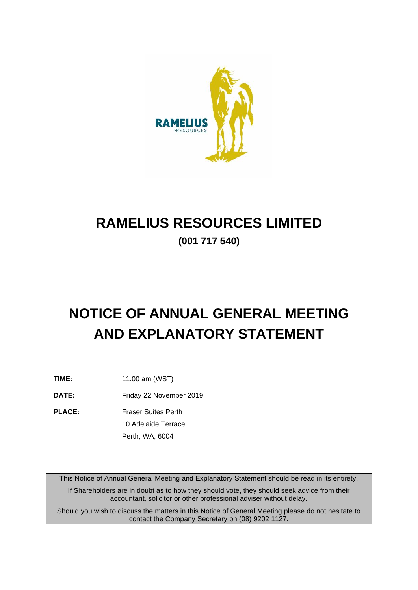

# **RAMELIUS RESOURCES LIMITED**

**(001 717 540)**

# **NOTICE OF ANNUAL GENERAL MEETING AND EXPLANATORY STATEMENT**

**TIME:** 11.00 am (WST)

**DATE:** Friday 22 November 2019

**PLACE:** Fraser Suites Perth 10 Adelaide Terrace

Perth, WA, 6004

This Notice of Annual General Meeting and Explanatory Statement should be read in its entirety.

If Shareholders are in doubt as to how they should vote, they should seek advice from their accountant, solicitor or other professional adviser without delay.

Should you wish to discuss the matters in this Notice of General Meeting please do not hesitate to contact the Company Secretary on (08) 9202 1127**.**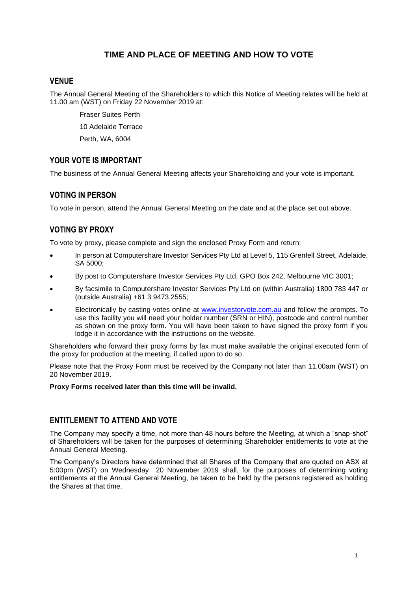# **TIME AND PLACE OF MEETING AND HOW TO VOTE**

# **VENUE**

The Annual General Meeting of the Shareholders to which this Notice of Meeting relates will be held at 11.00 am (WST) on Friday 22 November 2019 at:

Fraser Suites Perth 10 Adelaide Terrace Perth, WA, 6004

# **YOUR VOTE IS IMPORTANT**

The business of the Annual General Meeting affects your Shareholding and your vote is important.

# **VOTING IN PERSON**

To vote in person, attend the Annual General Meeting on the date and at the place set out above.

# **VOTING BY PROXY**

To vote by proxy, please complete and sign the enclosed Proxy Form and return:

- In person at Computershare Investor Services Pty Ltd at Level 5, 115 Grenfell Street, Adelaide, SA 5000;
- By post to Computershare Investor Services Pty Ltd, GPO Box 242, Melbourne VIC 3001;
- By facsimile to Computershare Investor Services Pty Ltd on (within Australia) 1800 783 447 or (outside Australia) +61 3 9473 2555;
- Electronically by casting votes online at [www.investorvote.com.au](http://www.investorvote.com.au/) and follow the prompts. To use this facility you will need your holder number (SRN or HIN), postcode and control number as shown on the proxy form. You will have been taken to have signed the proxy form if you lodge it in accordance with the instructions on the website.

Shareholders who forward their proxy forms by fax must make available the original executed form of the proxy for production at the meeting, if called upon to do so.

Please note that the Proxy Form must be received by the Company not later than 11.00am (WST) on 20 November 2019.

# **Proxy Forms received later than this time will be invalid.**

# **ENTITLEMENT TO ATTEND AND VOTE**

The Company may specify a time, not more than 48 hours before the Meeting, at which a "snap-shot" of Shareholders will be taken for the purposes of determining Shareholder entitlements to vote at the Annual General Meeting.

The Company's Directors have determined that all Shares of the Company that are quoted on ASX at 5:00pm (WST) on Wednesday 20 November 2019 shall, for the purposes of determining voting entitlements at the Annual General Meeting, be taken to be held by the persons registered as holding the Shares at that time.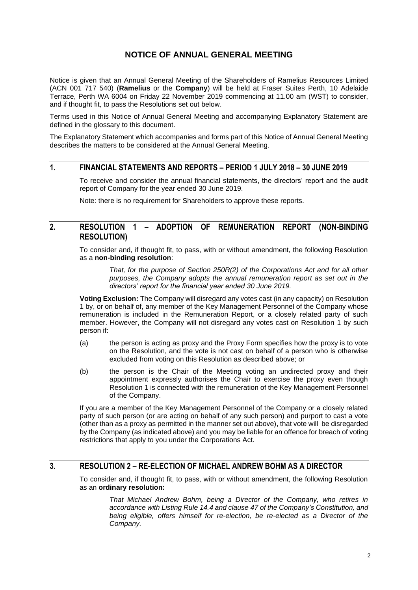# **NOTICE OF ANNUAL GENERAL MEETING**

Notice is given that an Annual General Meeting of the Shareholders of Ramelius Resources Limited (ACN 001 717 540) (**Ramelius** or the **Company**) will be held at Fraser Suites Perth, 10 Adelaide Terrace, Perth WA 6004 on Friday 22 November 2019 commencing at 11.00 am (WST) to consider, and if thought fit, to pass the Resolutions set out below.

Terms used in this Notice of Annual General Meeting and accompanying Explanatory Statement are defined in the glossary to this document.

The Explanatory Statement which accompanies and forms part of this Notice of Annual General Meeting describes the matters to be considered at the Annual General Meeting.

# **1. FINANCIAL STATEMENTS AND REPORTS – PERIOD 1 JULY 2018 – 30 JUNE 2019**

To receive and consider the annual financial statements, the directors' report and the audit report of Company for the year ended 30 June 2019.

Note: there is no requirement for Shareholders to approve these reports.

# **2. RESOLUTION 1 – ADOPTION OF REMUNERATION REPORT (NON-BINDING RESOLUTION)**

To consider and, if thought fit, to pass, with or without amendment, the following Resolution as a **non-binding resolution**:

> *That, for the purpose of Section 250R(2) of the Corporations Act and for all other purposes, the Company adopts the annual remuneration report as set out in the directors' report for the financial year ended 30 June 2019.*

**Voting Exclusion:** The Company will disregard any votes cast (in any capacity) on Resolution 1 by, or on behalf of, any member of the Key Management Personnel of the Company whose remuneration is included in the Remuneration Report, or a closely related party of such member. However, the Company will not disregard any votes cast on Resolution 1 by such person if:

- (a) the person is acting as proxy and the Proxy Form specifies how the proxy is to vote on the Resolution, and the vote is not cast on behalf of a person who is otherwise excluded from voting on this Resolution as described above; or
- (b) the person is the Chair of the Meeting voting an undirected proxy and their appointment expressly authorises the Chair to exercise the proxy even though Resolution 1 is connected with the remuneration of the Key Management Personnel of the Company.

If you are a member of the Key Management Personnel of the Company or a closely related party of such person (or are acting on behalf of any such person) and purport to cast a vote (other than as a proxy as permitted in the manner set out above), that vote will be disregarded by the Company (as indicated above) and you may be liable for an offence for breach of voting restrictions that apply to you under the Corporations Act.

# **3. RESOLUTION 2 – RE-ELECTION OF MICHAEL ANDREW BOHM AS A DIRECTOR**

To consider and, if thought fit, to pass, with or without amendment, the following Resolution as an **ordinary resolution:** 

*That Michael Andrew Bohm, being a Director of the Company, who retires in accordance with Listing Rule 14.4 and clause 47 of the Company's Constitution, and being eligible, offers himself for re-election, be re-elected as a Director of the Company.*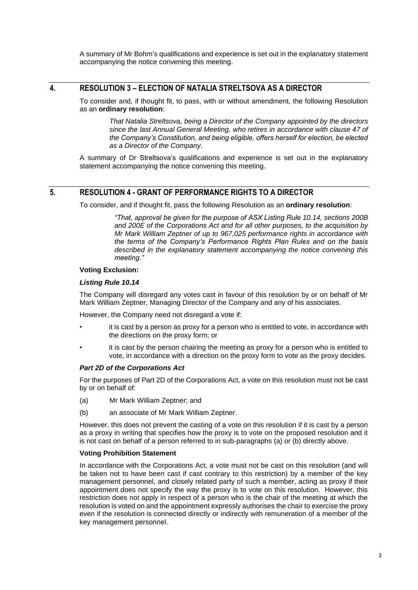A summary of Mr Bohm's qualifications and experience is set out in the explanatory statement accompanying the notice convening this meeting.

# **4. RESOLUTION 3 – ELECTION OF NATALIA STRELTSOVA AS A DIRECTOR**

To consider and, if thought fit, to pass, with or without amendment, the following Resolution as an **ordinary resolution**:

*That Natalia Streltsova, being a Director of the Company appointed by the directors since the last Annual General Meeting, who retires in accordance with clause 47 of the Company's Constitution, and being eligible, offers herself for election, be elected as a Director of the Company*.

A summary of Dr Streltsova's qualifications and experience is set out in the explanatory statement accompanying the notice convening this meeting.

# **5. RESOLUTION 4 - GRANT OF PERFORMANCE RIGHTS TO A DIRECTOR**

To consider, and if thought fit, pass the following Resolution as an **ordinary resolution**:

*"That, approval be given for the purpose of ASX Listing Rule 10.14, sections 200B and 200E of the Corporations Act and for all other purposes, to the acquisition by Mr Mark William Zeptner of up to 967,025 performance rights in accordance with the terms of the Company's Performance Rights Plan Rules and on the basis described in the explanatory statement accompanying the notice convening this meeting."*

#### **Voting Exclusion:**

#### *Listing Rule 10.14*

The Company will disregard any votes cast in favour of this resolution by or on behalf of Mr Mark William Zeptner, Managing Director of the Company and any of his associates.

However, the Company need not disregard a vote if:

- it is cast by a person as proxy for a person who is entitled to vote, in accordance with the directions on the proxy form; or
- it is cast by the person chairing the meeting as proxy for a person who is entitled to vote, in accordance with a direction on the proxy form to vote as the proxy decides.

#### *Part 2D of the Corporations Act*

For the purposes of Part 2D of the Corporations Act, a vote on this resolution must not be cast by or on behalf of:

- (a) Mr Mark William Zeptner; and
- (b) an associate of Mr Mark William Zeptner.

However, this does not prevent the casting of a vote on this resolution if it is cast by a person as a proxy in writing that specifies how the proxy is to vote on the proposed resolution and it is not cast on behalf of a person referred to in sub-paragraphs (a) or (b) directly above.

#### **Voting Prohibition Statement**

In accordance with the Corporations Act, a vote must not be cast on this resolution (and will be taken not to have been cast if cast contrary to this restriction) by a member of the key management personnel, and closely related party of such a member, acting as proxy if their appointment does not specify the way the proxy is to vote on this resolution. However, this restriction does not apply in respect of a person who is the chair of the meeting at which the resolution is voted on and the appointment expressly authorises the chair to exercise the proxy even if the resolution is connected directly or indirectly with remuneration of a member of the key management personnel.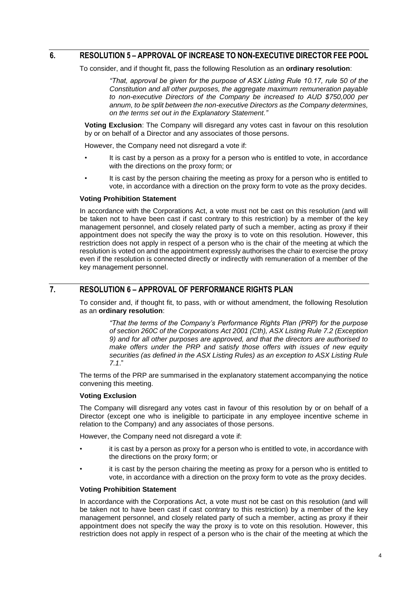### **6. RESOLUTION 5 – APPROVAL OF INCREASE TO NON-EXECUTIVE DIRECTOR FEE POOL**

To consider, and if thought fit, pass the following Resolution as an **ordinary resolution**:

*"That, approval be given for the purpose of ASX Listing Rule 10.17, rule 50 of the Constitution and all other purposes, the aggregate maximum remuneration payable to non-executive Directors of the Company be increased to AUD \$750,000 per annum, to be split between the non-executive Directors as the Company determines, on the terms set out in the Explanatory Statement."*

**Voting Exclusion**: The Company will disregard any votes cast in favour on this resolution by or on behalf of a Director and any associates of those persons.

However, the Company need not disregard a vote if:

- It is cast by a person as a proxy for a person who is entitled to vote, in accordance with the directions on the proxy form; or
- It is cast by the person chairing the meeting as proxy for a person who is entitled to vote, in accordance with a direction on the proxy form to vote as the proxy decides.

#### **Voting Prohibition Statement**

In accordance with the Corporations Act, a vote must not be cast on this resolution (and will be taken not to have been cast if cast contrary to this restriction) by a member of the key management personnel, and closely related party of such a member, acting as proxy if their appointment does not specify the way the proxy is to vote on this resolution. However, this restriction does not apply in respect of a person who is the chair of the meeting at which the resolution is voted on and the appointment expressly authorises the chair to exercise the proxy even if the resolution is connected directly or indirectly with remuneration of a member of the key management personnel.

# **7. RESOLUTION 6 – APPROVAL OF PERFORMANCE RIGHTS PLAN**

To consider and, if thought fit, to pass, with or without amendment, the following Resolution as an **ordinary resolution**:

> *"That the terms of the Company's Performance Rights Plan (PRP) for the purpose of section 260C of the Corporations Act 2001 (Cth), ASX Listing Rule 7.2 (Exception 9) and for all other purposes are approved, and that the directors are authorised to make offers under the PRP and satisfy those offers with issues of new equity securities (as defined in the ASX Listing Rules) as an exception to ASX Listing Rule 7.1*."

The terms of the PRP are summarised in the explanatory statement accompanying the notice convening this meeting.

# **Voting Exclusion**

The Company will disregard any votes cast in favour of this resolution by or on behalf of a Director (except one who is ineligible to participate in any employee incentive scheme in relation to the Company) and any associates of those persons.

However, the Company need not disregard a vote if:

- it is cast by a person as proxy for a person who is entitled to vote, in accordance with the directions on the proxy form; or
- it is cast by the person chairing the meeting as proxy for a person who is entitled to vote, in accordance with a direction on the proxy form to vote as the proxy decides.

#### **Voting Prohibition Statement**

In accordance with the Corporations Act, a vote must not be cast on this resolution (and will be taken not to have been cast if cast contrary to this restriction) by a member of the key management personnel, and closely related party of such a member, acting as proxy if their appointment does not specify the way the proxy is to vote on this resolution. However, this restriction does not apply in respect of a person who is the chair of the meeting at which the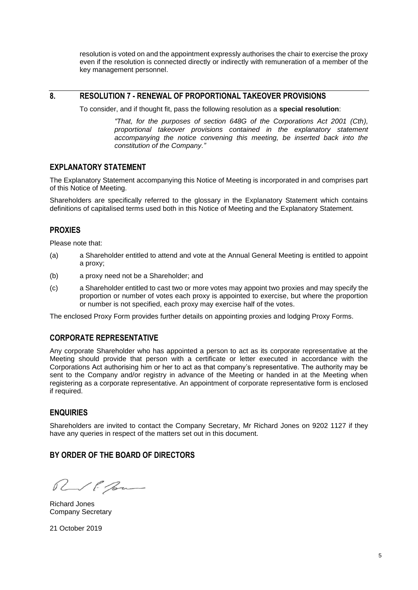resolution is voted on and the appointment expressly authorises the chair to exercise the proxy even if the resolution is connected directly or indirectly with remuneration of a member of the key management personnel.

# **8. RESOLUTION 7 - RENEWAL OF PROPORTIONAL TAKEOVER PROVISIONS**

To consider, and if thought fit, pass the following resolution as a **special resolution**:

*"That, for the purposes of section 648G of the Corporations Act 2001 (Cth), proportional takeover provisions contained in the explanatory statement accompanying the notice convening this meeting, be inserted back into the constitution of the Company."*

# **EXPLANATORY STATEMENT**

The Explanatory Statement accompanying this Notice of Meeting is incorporated in and comprises part of this Notice of Meeting.

Shareholders are specifically referred to the glossary in the Explanatory Statement which contains definitions of capitalised terms used both in this Notice of Meeting and the Explanatory Statement.

#### **PROXIES**

Please note that:

- (a) a Shareholder entitled to attend and vote at the Annual General Meeting is entitled to appoint a proxy;
- (b) a proxy need not be a Shareholder; and
- (c) a Shareholder entitled to cast two or more votes may appoint two proxies and may specify the proportion or number of votes each proxy is appointed to exercise, but where the proportion or number is not specified, each proxy may exercise half of the votes.

The enclosed Proxy Form provides further details on appointing proxies and lodging Proxy Forms.

# **CORPORATE REPRESENTATIVE**

Any corporate Shareholder who has appointed a person to act as its corporate representative at the Meeting should provide that person with a certificate or letter executed in accordance with the Corporations Act authorising him or her to act as that company's representative. The authority may be sent to the Company and/or registry in advance of the Meeting or handed in at the Meeting when registering as a corporate representative. An appointment of corporate representative form is enclosed if required.

# **ENQUIRIES**

Shareholders are invited to contact the Company Secretary, Mr Richard Jones on 9202 1127 if they have any queries in respect of the matters set out in this document.

#### **BY ORDER OF THE BOARD OF DIRECTORS**

RVP Bu

Richard Jones Company Secretary

21 October 2019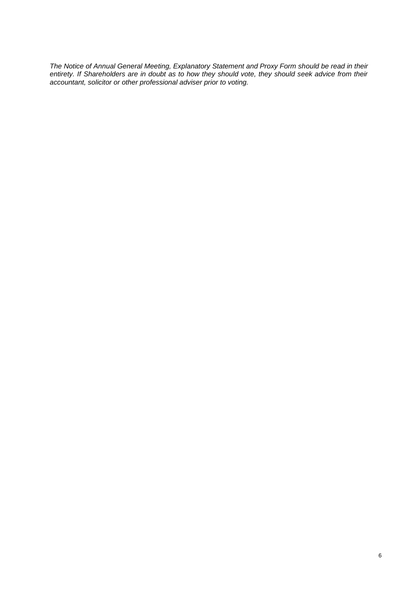*The Notice of Annual General Meeting, Explanatory Statement and Proxy Form should be read in their entirety. If Shareholders are in doubt as to how they should vote, they should seek advice from their accountant, solicitor or other professional adviser prior to voting.*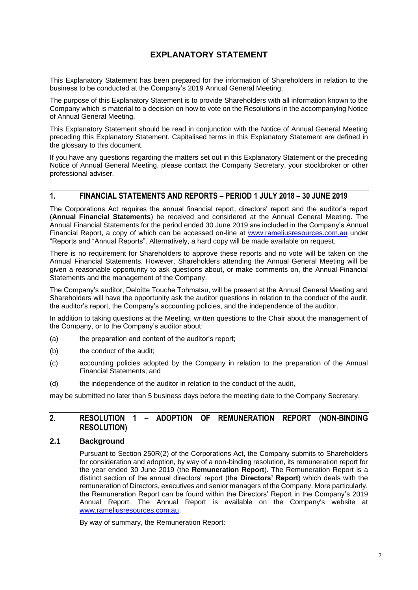# **EXPLANATORY STATEMENT**

This Explanatory Statement has been prepared for the information of Shareholders in relation to the business to be conducted at the Company's 2019 Annual General Meeting.

The purpose of this Explanatory Statement is to provide Shareholders with all information known to the Company which is material to a decision on how to vote on the Resolutions in the accompanying Notice of Annual General Meeting.

This Explanatory Statement should be read in conjunction with the Notice of Annual General Meeting preceding this Explanatory Statement. Capitalised terms in this Explanatory Statement are defined in the glossary to this document.

If you have any questions regarding the matters set out in this Explanatory Statement or the preceding Notice of Annual General Meeting, please contact the Company Secretary, your stockbroker or other professional adviser.

# **1. FINANCIAL STATEMENTS AND REPORTS – PERIOD 1 JULY 2018 – 30 JUNE 2019**

The Corporations Act requires the annual financial report, directors' report and the auditor's report (**Annual Financial Statements**) be received and considered at the Annual General Meeting. The Annual Financial Statements for the period ended 30 June 2019 are included in the Company's Annual Financial Report, a copy of which can be accessed on-line at [www.rameliusresources.com.au](http://www.rameliusresources.com.au/) under "Reports and "Annual Reports". Alternatively, a hard copy will be made available on request.

There is no requirement for Shareholders to approve these reports and no vote will be taken on the Annual Financial Statements. However, Shareholders attending the Annual General Meeting will be given a reasonable opportunity to ask questions about, or make comments on, the Annual Financial Statements and the management of the Company.

The Company's auditor, Deloitte Touche Tohmatsu, will be present at the Annual General Meeting and Shareholders will have the opportunity ask the auditor questions in relation to the conduct of the audit, the auditor's report, the Company's accounting policies, and the independence of the auditor.

In addition to taking questions at the Meeting, written questions to the Chair about the management of the Company, or to the Company's auditor about:

- (a) the preparation and content of the auditor's report;
- (b) the conduct of the audit:
- (c) accounting policies adopted by the Company in relation to the preparation of the Annual Financial Statements; and
- (d) the independence of the auditor in relation to the conduct of the audit,

may be submitted no later than 5 business days before the meeting date to the Company Secretary.

# **2. RESOLUTION 1 – ADOPTION OF REMUNERATION REPORT (NON-BINDING RESOLUTION)**

#### **2.1 Background**

Pursuant to Section 250R(2) of the Corporations Act, the Company submits to Shareholders for consideration and adoption, by way of a non-binding resolution, its remuneration report for the year ended 30 June 2019 (the **Remuneration Report**). The Remuneration Report is a distinct section of the annual directors' report (the **Directors' Report**) which deals with the remuneration of Directors, executives and senior managers of the Company. More particularly, the Remuneration Report can be found within the Directors' Report in the Company's 2019 Annual Report. The Annual Report is available on the Company's website at [www.rameliusresources.com.au.](http://www.rameliusresources.com.au/)

By way of summary, the Remuneration Report: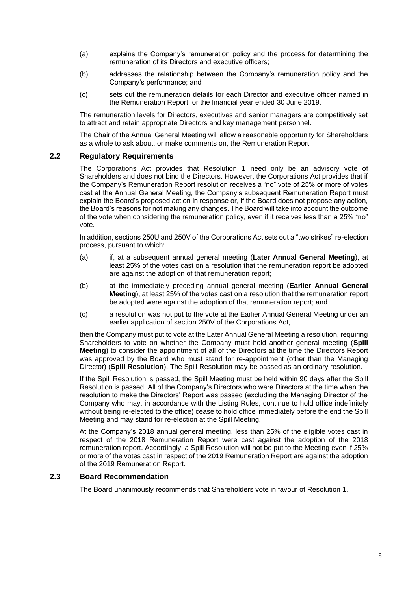- (a) explains the Company's remuneration policy and the process for determining the remuneration of its Directors and executive officers;
- (b) addresses the relationship between the Company's remuneration policy and the Company's performance; and
- (c) sets out the remuneration details for each Director and executive officer named in the Remuneration Report for the financial year ended 30 June 2019.

The remuneration levels for Directors, executives and senior managers are competitively set to attract and retain appropriate Directors and key management personnel.

The Chair of the Annual General Meeting will allow a reasonable opportunity for Shareholders as a whole to ask about, or make comments on, the Remuneration Report.

#### **2.2 Regulatory Requirements**

The Corporations Act provides that Resolution 1 need only be an advisory vote of Shareholders and does not bind the Directors. However, the Corporations Act provides that if the Company's Remuneration Report resolution receives a "no" vote of 25% or more of votes cast at the Annual General Meeting, the Company's subsequent Remuneration Report must explain the Board's proposed action in response or, if the Board does not propose any action, the Board's reasons for not making any changes. The Board will take into account the outcome of the vote when considering the remuneration policy, even if it receives less than a 25% "no" vote.

In addition, sections 250U and 250V of the Corporations Act sets out a "two strikes" re-election process, pursuant to which:

- (a) if, at a subsequent annual general meeting (**Later Annual General Meeting**), at least 25% of the votes cast on a resolution that the remuneration report be adopted are against the adoption of that remuneration report;
- (b) at the immediately preceding annual general meeting (**Earlier Annual General Meeting**), at least 25% of the votes cast on a resolution that the remuneration report be adopted were against the adoption of that remuneration report; and
- (c) a resolution was not put to the vote at the Earlier Annual General Meeting under an earlier application of section 250V of the Corporations Act,

then the Company must put to vote at the Later Annual General Meeting a resolution, requiring Shareholders to vote on whether the Company must hold another general meeting (**Spill Meeting**) to consider the appointment of all of the Directors at the time the Directors Report was approved by the Board who must stand for re-appointment (other than the Managing Director) (**Spill Resolution**). The Spill Resolution may be passed as an ordinary resolution.

If the Spill Resolution is passed, the Spill Meeting must be held within 90 days after the Spill Resolution is passed. All of the Company's Directors who were Directors at the time when the resolution to make the Directors' Report was passed (excluding the Managing Director of the Company who may, in accordance with the Listing Rules, continue to hold office indefinitely without being re-elected to the office) cease to hold office immediately before the end the Spill Meeting and may stand for re-election at the Spill Meeting.

At the Company's 2018 annual general meeting, less than 25% of the eligible votes cast in respect of the 2018 Remuneration Report were cast against the adoption of the 2018 remuneration report. Accordingly, a Spill Resolution will not be put to the Meeting even if 25% or more of the votes cast in respect of the 2019 Remuneration Report are against the adoption of the 2019 Remuneration Report.

#### **2.3 Board Recommendation**

The Board unanimously recommends that Shareholders vote in favour of Resolution 1.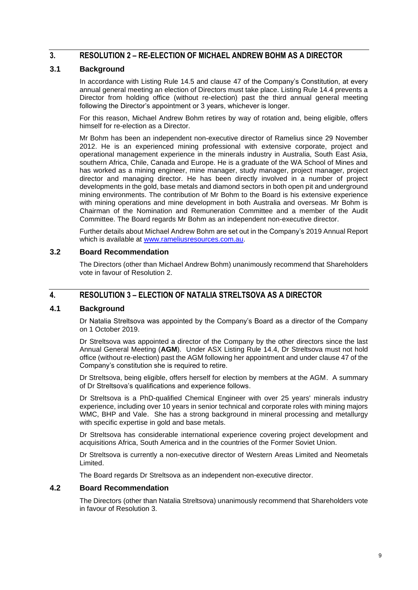# **3. RESOLUTION 2 – RE-ELECTION OF MICHAEL ANDREW BOHM AS A DIRECTOR**

#### **3.1 Background**

In accordance with Listing Rule 14.5 and clause 47 of the Company's Constitution, at every annual general meeting an election of Directors must take place. Listing Rule 14.4 prevents a Director from holding office (without re-election) past the third annual general meeting following the Director's appointment or 3 years, whichever is longer.

For this reason, Michael Andrew Bohm retires by way of rotation and, being eligible, offers himself for re-election as a Director.

Mr Bohm has been an independent non-executive director of Ramelius since 29 November 2012. He is an experienced mining professional with extensive corporate, project and operational management experience in the minerals industry in Australia, South East Asia, southern Africa, Chile, Canada and Europe. He is a graduate of the WA School of Mines and has worked as a mining engineer, mine manager, study manager, project manager, project director and managing director. He has been directly involved in a number of project developments in the gold, base metals and diamond sectors in both open pit and underground mining environments. The contribution of Mr Bohm to the Board is his extensive experience with mining operations and mine development in both Australia and overseas. Mr Bohm is Chairman of the Nomination and Remuneration Committee and a member of the Audit Committee. The Board regards Mr Bohm as an independent non-executive director.

Further details about Michael Andrew Bohm are set out in the Company's 2019 Annual Report which is available at [www.rameliusresources.com.au.](http://www.rameliusresources.com.au/)

#### **3.2 Board Recommendation**

The Directors (other than Michael Andrew Bohm) unanimously recommend that Shareholders vote in favour of Resolution 2.

# **4. RESOLUTION 3 – ELECTION OF NATALIA STRELTSOVA AS A DIRECTOR**

#### **4.1 Background**

Dr Natalia Streltsova was appointed by the Company's Board as a director of the Company on 1 October 2019.

Dr Streltsova was appointed a director of the Company by the other directors since the last Annual General Meeting (**AGM**). Under ASX Listing Rule 14.4, Dr Streltsova must not hold office (without re-election) past the AGM following her appointment and under clause 47 of the Company's constitution she is required to retire.

Dr Streltsova, being eligible, offers herself for election by members at the AGM. A summary of Dr Streltsova's qualifications and experience follows.

Dr Streltsova is a PhD-qualified Chemical Engineer with over 25 years' minerals industry experience, including over 10 years in senior technical and corporate roles with mining majors WMC, BHP and Vale. She has a strong background in mineral processing and metallurgy with specific expertise in gold and base metals.

Dr Streltsova has considerable international experience covering project development and acquisitions Africa, South America and in the countries of the Former Soviet Union.

Dr Streltsova is currently a non-executive director of Western Areas Limited and Neometals Limited.

The Board regards Dr Streltsova as an independent non-executive director.

#### **4.2 Board Recommendation**

The Directors (other than Natalia Streltsova) unanimously recommend that Shareholders vote in favour of Resolution 3.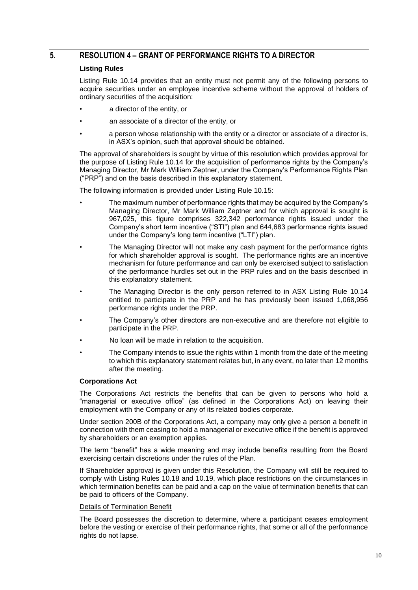# **5. RESOLUTION 4 – GRANT OF PERFORMANCE RIGHTS TO A DIRECTOR**

#### **Listing Rules**

Listing Rule 10.14 provides that an entity must not permit any of the following persons to acquire securities under an employee incentive scheme without the approval of holders of ordinary securities of the acquisition:

- a director of the entity, or
- an associate of a director of the entity, or
- a person whose relationship with the entity or a director or associate of a director is, in ASX's opinion, such that approval should be obtained.

The approval of shareholders is sought by virtue of this resolution which provides approval for the purpose of Listing Rule 10.14 for the acquisition of performance rights by the Company's Managing Director, Mr Mark William Zeptner, under the Company's Performance Rights Plan ("PRP") and on the basis described in this explanatory statement.

The following information is provided under Listing Rule 10.15:

- The maximum number of performance rights that may be acquired by the Company's Managing Director, Mr Mark William Zeptner and for which approval is sought is 967,025, this figure comprises 322,342 performance rights issued under the Company's short term incentive ("STI") plan and 644,683 performance rights issued under the Company's long term incentive ("LTI") plan.
- The Managing Director will not make any cash payment for the performance rights for which shareholder approval is sought. The performance rights are an incentive mechanism for future performance and can only be exercised subject to satisfaction of the performance hurdles set out in the PRP rules and on the basis described in this explanatory statement.
- The Managing Director is the only person referred to in ASX Listing Rule 10.14 entitled to participate in the PRP and he has previously been issued 1,068,956 performance rights under the PRP.
- The Company's other directors are non-executive and are therefore not eligible to participate in the PRP.
- No loan will be made in relation to the acquisition.
- The Company intends to issue the rights within 1 month from the date of the meeting to which this explanatory statement relates but, in any event, no later than 12 months after the meeting.

#### **Corporations Act**

The Corporations Act restricts the benefits that can be given to persons who hold a "managerial or executive office" (as defined in the Corporations Act) on leaving their employment with the Company or any of its related bodies corporate.

Under section 200B of the Corporations Act, a company may only give a person a benefit in connection with them ceasing to hold a managerial or executive office if the benefit is approved by shareholders or an exemption applies.

The term "benefit" has a wide meaning and may include benefits resulting from the Board exercising certain discretions under the rules of the Plan.

If Shareholder approval is given under this Resolution, the Company will still be required to comply with Listing Rules 10.18 and 10.19, which place restrictions on the circumstances in which termination benefits can be paid and a cap on the value of termination benefits that can be paid to officers of the Company.

#### Details of Termination Benefit

The Board possesses the discretion to determine, where a participant ceases employment before the vesting or exercise of their performance rights, that some or all of the performance rights do not lapse.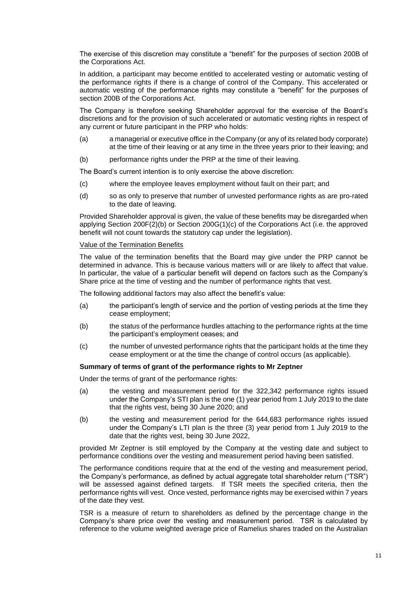The exercise of this discretion may constitute a "benefit" for the purposes of section 200B of the Corporations Act.

In addition, a participant may become entitled to accelerated vesting or automatic vesting of the performance rights if there is a change of control of the Company. This accelerated or automatic vesting of the performance rights may constitute a "benefit" for the purposes of section 200B of the Corporations Act.

The Company is therefore seeking Shareholder approval for the exercise of the Board's discretions and for the provision of such accelerated or automatic vesting rights in respect of any current or future participant in the PRP who holds:

- (a) a managerial or executive office in the Company (or any of its related body corporate) at the time of their leaving or at any time in the three years prior to their leaving; and
- (b) performance rights under the PRP at the time of their leaving.

The Board's current intention is to only exercise the above discretion:

- (c) where the employee leaves employment without fault on their part; and
- (d) so as only to preserve that number of unvested performance rights as are pro-rated to the date of leaving.

Provided Shareholder approval is given, the value of these benefits may be disregarded when applying Section 200F(2)(b) or Section 200G(1)(c) of the Corporations Act (i.e. the approved benefit will not count towards the statutory cap under the legislation).

#### Value of the Termination Benefits

The value of the termination benefits that the Board may give under the PRP cannot be determined in advance. This is because various matters will or are likely to affect that value. In particular, the value of a particular benefit will depend on factors such as the Company's Share price at the time of vesting and the number of performance rights that vest.

The following additional factors may also affect the benefit's value:

- (a) the participant's length of service and the portion of vesting periods at the time they cease employment;
- (b) the status of the performance hurdles attaching to the performance rights at the time the participant's employment ceases; and
- (c) the number of unvested performance rights that the participant holds at the time they cease employment or at the time the change of control occurs (as applicable).

#### **Summary of terms of grant of the performance rights to Mr Zeptner**

Under the terms of grant of the performance rights:

- (a) the vesting and measurement period for the 322,342 performance rights issued under the Company's STI plan is the one (1) year period from 1 July 2019 to the date that the rights vest, being 30 June 2020; and
- (b) the vesting and measurement period for the 644,683 performance rights issued under the Company's LTI plan is the three (3) year period from 1 July 2019 to the date that the rights vest, being 30 June 2022,

provided Mr Zeptner is still employed by the Company at the vesting date and subject to performance conditions over the vesting and measurement period having been satisfied.

The performance conditions require that at the end of the vesting and measurement period, the Company's performance, as defined by actual aggregate total shareholder return ("TSR") will be assessed against defined targets. If TSR meets the specified criteria, then the performance rights will vest. Once vested, performance rights may be exercised within 7 years of the date they vest.

TSR is a measure of return to shareholders as defined by the percentage change in the Company's share price over the vesting and measurement period. TSR is calculated by reference to the volume weighted average price of Ramelius shares traded on the Australian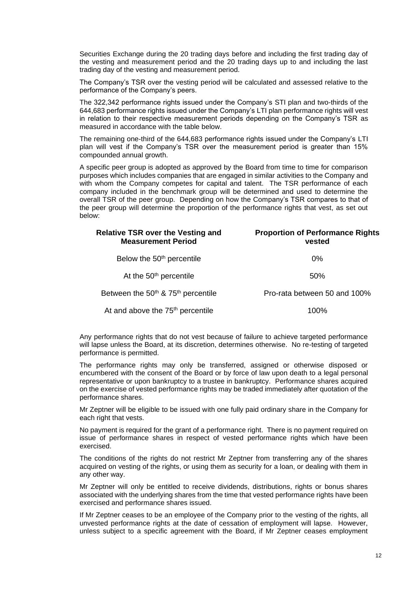Securities Exchange during the 20 trading days before and including the first trading day of the vesting and measurement period and the 20 trading days up to and including the last trading day of the vesting and measurement period.

The Company's TSR over the vesting period will be calculated and assessed relative to the performance of the Company's peers.

The 322,342 performance rights issued under the Company's STI plan and two-thirds of the 644,683 performance rights issued under the Company's LTI plan performance rights will vest in relation to their respective measurement periods depending on the Company's TSR as measured in accordance with the table below.

The remaining one-third of the 644,683 performance rights issued under the Company's LTI plan will vest if the Company's TSR over the measurement period is greater than 15% compounded annual growth.

A specific peer group is adopted as approved by the Board from time to time for comparison purposes which includes companies that are engaged in similar activities to the Company and with whom the Company competes for capital and talent. The TSR performance of each company included in the benchmark group will be determined and used to determine the overall TSR of the peer group. Depending on how the Company's TSR compares to that of the peer group will determine the proportion of the performance rights that vest, as set out below:

| <b>Relative TSR over the Vesting and</b><br><b>Measurement Period</b> | <b>Proportion of Performance Rights</b><br>vested |  |  |
|-----------------------------------------------------------------------|---------------------------------------------------|--|--|
| Below the 50 <sup>th</sup> percentile                                 | $0\%$                                             |  |  |
| At the 50 <sup>th</sup> percentile                                    | 50%                                               |  |  |
| Between the 50 <sup>th</sup> & 75 <sup>th</sup> percentile            | Pro-rata between 50 and 100%                      |  |  |
| At and above the 75 <sup>th</sup> percentile                          | 100%                                              |  |  |

Any performance rights that do not vest because of failure to achieve targeted performance will lapse unless the Board, at its discretion, determines otherwise. No re-testing of targeted performance is permitted.

The performance rights may only be transferred, assigned or otherwise disposed or encumbered with the consent of the Board or by force of law upon death to a legal personal representative or upon bankruptcy to a trustee in bankruptcy. Performance shares acquired on the exercise of vested performance rights may be traded immediately after quotation of the performance shares.

Mr Zeptner will be eligible to be issued with one fully paid ordinary share in the Company for each right that vests.

No payment is required for the grant of a performance right. There is no payment required on issue of performance shares in respect of vested performance rights which have been exercised.

The conditions of the rights do not restrict Mr Zeptner from transferring any of the shares acquired on vesting of the rights, or using them as security for a loan, or dealing with them in any other way.

Mr Zeptner will only be entitled to receive dividends, distributions, rights or bonus shares associated with the underlying shares from the time that vested performance rights have been exercised and performance shares issued.

If Mr Zeptner ceases to be an employee of the Company prior to the vesting of the rights, all unvested performance rights at the date of cessation of employment will lapse. However, unless subject to a specific agreement with the Board, if Mr Zeptner ceases employment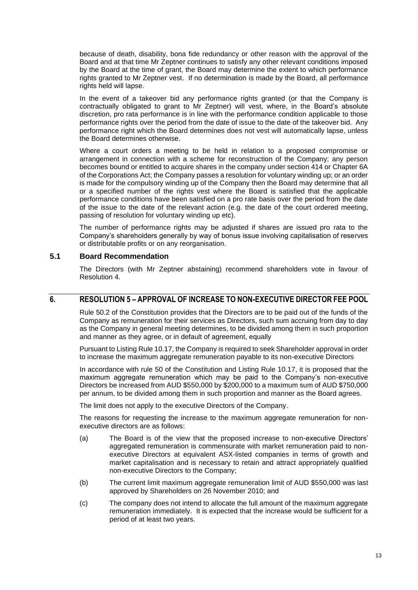because of death, disability, bona fide redundancy or other reason with the approval of the Board and at that time Mr Zeptner continues to satisfy any other relevant conditions imposed by the Board at the time of grant, the Board may determine the extent to which performance rights granted to Mr Zeptner vest. If no determination is made by the Board, all performance rights held will lapse.

In the event of a takeover bid any performance rights granted (or that the Company is contractually obligated to grant to Mr Zeptner) will vest, where, in the Board's absolute discretion, pro rata performance is in line with the performance condition applicable to those performance rights over the period from the date of issue to the date of the takeover bid. Any performance right which the Board determines does not vest will automatically lapse, unless the Board determines otherwise.

Where a court orders a meeting to be held in relation to a proposed compromise or arrangement in connection with a scheme for reconstruction of the Company; any person becomes bound or entitled to acquire shares in the company under section 414 or Chapter 6A of the Corporations Act; the Company passes a resolution for voluntary winding up; or an order is made for the compulsory winding up of the Company then the Board may determine that all or a specified number of the rights vest where the Board is satisfied that the applicable performance conditions have been satisfied on a pro rate basis over the period from the date of the issue to the date of the relevant action (e.g. the date of the court ordered meeting, passing of resolution for voluntary winding up etc).

The number of performance rights may be adjusted if shares are issued pro rata to the Company's shareholders generally by way of bonus issue involving capitalisation of reserves or distributable profits or on any reorganisation.

#### **5.1 Board Recommendation**

The Directors (with Mr Zeptner abstaining) recommend shareholders vote in favour of Resolution 4.

# **6. RESOLUTION 5 – APPROVAL OF INCREASE TO NON-EXECUTIVE DIRECTOR FEE POOL**

Rule 50.2 of the Constitution provides that the Directors are to be paid out of the funds of the Company as remuneration for their services as Directors, such sum accruing from day to day as the Company in general meeting determines, to be divided among them in such proportion and manner as they agree, or in default of agreement, equally

Pursuant to Listing Rule 10.17, the Company is required to seek Shareholder approval in order to increase the maximum aggregate remuneration payable to its non-executive Directors

In accordance with rule 50 of the Constitution and Listing Rule 10.17, it is proposed that the maximum aggregate remuneration which may be paid to the Company's non-executive Directors be increased from AUD \$550,000 by \$200,000 to a maximum sum of AUD \$750,000 per annum, to be divided among them in such proportion and manner as the Board agrees.

The limit does not apply to the executive Directors of the Company.

The reasons for requesting the increase to the maximum aggregate remuneration for nonexecutive directors are as follows:

- (a) The Board is of the view that the proposed increase to non-executive Directors' aggregated remuneration is commensurate with market remuneration paid to nonexecutive Directors at equivalent ASX-listed companies in terms of growth and market capitalisation and is necessary to retain and attract appropriately qualified non-executive Directors to the Company;
- (b) The current limit maximum aggregate remuneration limit of AUD \$550,000 was last approved by Shareholders on 26 November 2010; and
- (c) The company does not intend to allocate the full amount of the maximum aggregate remuneration immediately. It is expected that the increase would be sufficient for a period of at least two years.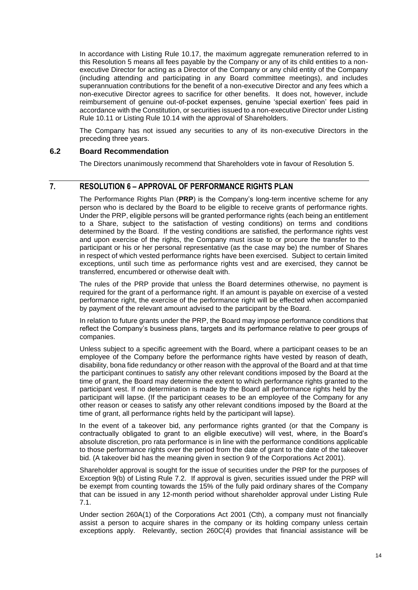In accordance with Listing Rule 10.17, the maximum aggregate remuneration referred to in this Resolution 5 means all fees payable by the Company or any of its child entities to a nonexecutive Director for acting as a Director of the Company or any child entity of the Company (including attending and participating in any Board committee meetings), and includes superannuation contributions for the benefit of a non-executive Director and any fees which a non-executive Director agrees to sacrifice for other benefits. It does not, however, include reimbursement of genuine out-of-pocket expenses, genuine 'special exertion' fees paid in accordance with the Constitution, or securities issued to a non-executive Director under Listing Rule 10.11 or Listing Rule 10.14 with the approval of Shareholders.

The Company has not issued any securities to any of its non-executive Directors in the preceding three years.

# **6.2 Board Recommendation**

The Directors unanimously recommend that Shareholders vote in favour of Resolution 5.

# **7. RESOLUTION 6 – APPROVAL OF PERFORMANCE RIGHTS PLAN**

The Performance Rights Plan (**PRP**) is the Company's long-term incentive scheme for any person who is declared by the Board to be eligible to receive grants of performance rights. Under the PRP, eligible persons will be granted performance rights (each being an entitlement to a Share, subject to the satisfaction of vesting conditions) on terms and conditions determined by the Board. If the vesting conditions are satisfied, the performance rights vest and upon exercise of the rights, the Company must issue to or procure the transfer to the participant or his or her personal representative (as the case may be) the number of Shares in respect of which vested performance rights have been exercised. Subject to certain limited exceptions, until such time as performance rights vest and are exercised, they cannot be transferred, encumbered or otherwise dealt with.

The rules of the PRP provide that unless the Board determines otherwise, no payment is required for the grant of a performance right. If an amount is payable on exercise of a vested performance right, the exercise of the performance right will be effected when accompanied by payment of the relevant amount advised to the participant by the Board.

In relation to future grants under the PRP, the Board may impose performance conditions that reflect the Company's business plans, targets and its performance relative to peer groups of companies.

Unless subject to a specific agreement with the Board, where a participant ceases to be an employee of the Company before the performance rights have vested by reason of death, disability, bona fide redundancy or other reason with the approval of the Board and at that time the participant continues to satisfy any other relevant conditions imposed by the Board at the time of grant, the Board may determine the extent to which performance rights granted to the participant vest. If no determination is made by the Board all performance rights held by the participant will lapse. (If the participant ceases to be an employee of the Company for any other reason or ceases to satisfy any other relevant conditions imposed by the Board at the time of grant, all performance rights held by the participant will lapse).

In the event of a takeover bid, any performance rights granted (or that the Company is contractually obligated to grant to an eligible executive) will vest, where, in the Board's absolute discretion, pro rata performance is in line with the performance conditions applicable to those performance rights over the period from the date of grant to the date of the takeover bid. (A takeover bid has the meaning given in section 9 of the Corporations Act 2001).

Shareholder approval is sought for the issue of securities under the PRP for the purposes of Exception 9(b) of Listing Rule 7.2. If approval is given, securities issued under the PRP will be exempt from counting towards the 15% of the fully paid ordinary shares of the Company that can be issued in any 12-month period without shareholder approval under Listing Rule 7.1.

Under section 260A(1) of the Corporations Act 2001 (Cth), a company must not financially assist a person to acquire shares in the company or its holding company unless certain exceptions apply. Relevantly, section 260C(4) provides that financial assistance will be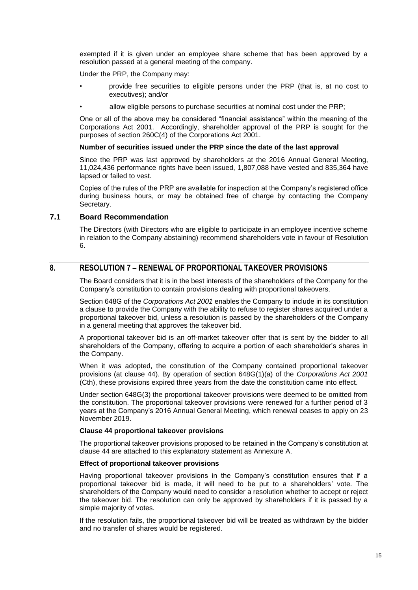exempted if it is given under an employee share scheme that has been approved by a resolution passed at a general meeting of the company.

Under the PRP, the Company may:

- provide free securities to eligible persons under the PRP (that is, at no cost to executives); and/or
- allow eligible persons to purchase securities at nominal cost under the PRP;

One or all of the above may be considered "financial assistance" within the meaning of the Corporations Act 2001. Accordingly, shareholder approval of the PRP is sought for the purposes of section 260C(4) of the Corporations Act 2001.

#### **Number of securities issued under the PRP since the date of the last approval**

Since the PRP was last approved by shareholders at the 2016 Annual General Meeting, 11,024,436 performance rights have been issued, 1,807,088 have vested and 835,364 have lapsed or failed to vest.

Copies of the rules of the PRP are available for inspection at the Company's registered office during business hours, or may be obtained free of charge by contacting the Company Secretary.

#### **7.1 Board Recommendation**

The Directors (with Directors who are eligible to participate in an employee incentive scheme in relation to the Company abstaining) recommend shareholders vote in favour of Resolution 6.

# **8. RESOLUTION 7 – RENEWAL OF PROPORTIONAL TAKEOVER PROVISIONS**

The Board considers that it is in the best interests of the shareholders of the Company for the Company's constitution to contain provisions dealing with proportional takeovers.

Section 648G of the *Corporations Act 2001* enables the Company to include in its constitution a clause to provide the Company with the ability to refuse to register shares acquired under a proportional takeover bid, unless a resolution is passed by the shareholders of the Company in a general meeting that approves the takeover bid.

A proportional takeover bid is an off-market takeover offer that is sent by the bidder to all shareholders of the Company, offering to acquire a portion of each shareholder's shares in the Company.

When it was adopted, the constitution of the Company contained proportional takeover provisions (at clause 44). By operation of section 648G(1)(a) of the *Corporations Act 2001* (Cth), these provisions expired three years from the date the constitution came into effect.

Under section 648G(3) the proportional takeover provisions were deemed to be omitted from the constitution. The proportional takeover provisions were renewed for a further period of 3 years at the Company's 2016 Annual General Meeting, which renewal ceases to apply on 23 November 2019.

#### **Clause 44 proportional takeover provisions**

The proportional takeover provisions proposed to be retained in the Company's constitution at clause 44 are attached to this explanatory statement as Annexure A.

#### **Effect of proportional takeover provisions**

Having proportional takeover provisions in the Company's constitution ensures that if a proportional takeover bid is made, it will need to be put to a shareholders' vote. The shareholders of the Company would need to consider a resolution whether to accept or reject the takeover bid. The resolution can only be approved by shareholders if it is passed by a simple majority of votes.

If the resolution fails, the proportional takeover bid will be treated as withdrawn by the bidder and no transfer of shares would be registered.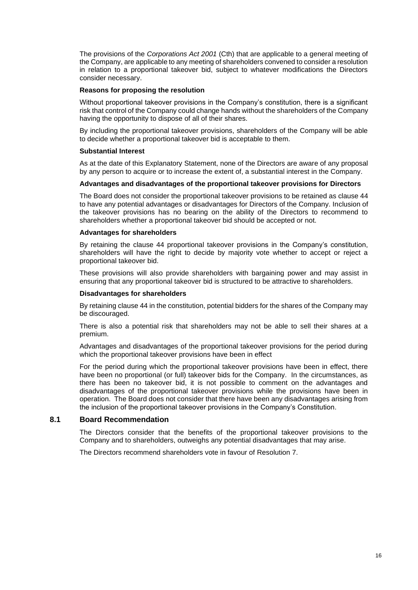The provisions of the *Corporations Act 2001* (Cth) that are applicable to a general meeting of the Company, are applicable to any meeting of shareholders convened to consider a resolution in relation to a proportional takeover bid, subject to whatever modifications the Directors consider necessary.

#### **Reasons for proposing the resolution**

Without proportional takeover provisions in the Company's constitution, there is a significant risk that control of the Company could change hands without the shareholders of the Company having the opportunity to dispose of all of their shares.

By including the proportional takeover provisions, shareholders of the Company will be able to decide whether a proportional takeover bid is acceptable to them.

#### **Substantial Interest**

As at the date of this Explanatory Statement, none of the Directors are aware of any proposal by any person to acquire or to increase the extent of, a substantial interest in the Company.

#### **Advantages and disadvantages of the proportional takeover provisions for Directors**

The Board does not consider the proportional takeover provisions to be retained as clause 44 to have any potential advantages or disadvantages for Directors of the Company. Inclusion of the takeover provisions has no bearing on the ability of the Directors to recommend to shareholders whether a proportional takeover bid should be accepted or not.

#### **Advantages for shareholders**

By retaining the clause 44 proportional takeover provisions in the Company's constitution, shareholders will have the right to decide by majority vote whether to accept or reject a proportional takeover bid.

These provisions will also provide shareholders with bargaining power and may assist in ensuring that any proportional takeover bid is structured to be attractive to shareholders.

#### **Disadvantages for shareholders**

By retaining clause 44 in the constitution, potential bidders for the shares of the Company may be discouraged.

There is also a potential risk that shareholders may not be able to sell their shares at a premium.

Advantages and disadvantages of the proportional takeover provisions for the period during which the proportional takeover provisions have been in effect

For the period during which the proportional takeover provisions have been in effect, there have been no proportional (or full) takeover bids for the Company. In the circumstances, as there has been no takeover bid, it is not possible to comment on the advantages and disadvantages of the proportional takeover provisions while the provisions have been in operation. The Board does not consider that there have been any disadvantages arising from the inclusion of the proportional takeover provisions in the Company's Constitution.

#### **8.1 Board Recommendation**

The Directors consider that the benefits of the proportional takeover provisions to the Company and to shareholders, outweighs any potential disadvantages that may arise.

The Directors recommend shareholders vote in favour of Resolution 7.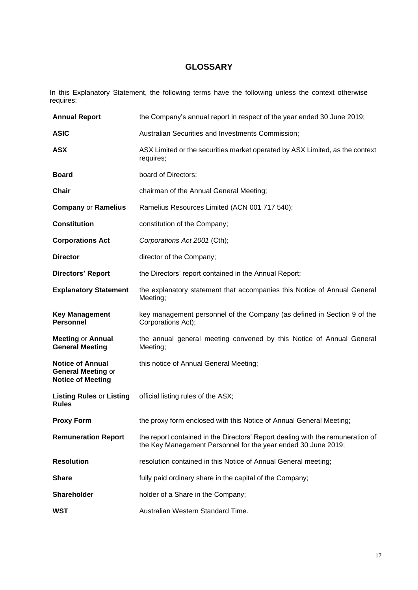# **GLOSSARY**

In this Explanatory Statement, the following terms have the following unless the context otherwise requires:

| <b>Annual Report</b>                                                             | the Company's annual report in respect of the year ended 30 June 2019;                                                                          |  |  |
|----------------------------------------------------------------------------------|-------------------------------------------------------------------------------------------------------------------------------------------------|--|--|
| <b>ASIC</b>                                                                      | Australian Securities and Investments Commission;                                                                                               |  |  |
| <b>ASX</b>                                                                       | ASX Limited or the securities market operated by ASX Limited, as the context<br>requires;                                                       |  |  |
| <b>Board</b>                                                                     | board of Directors;                                                                                                                             |  |  |
| <b>Chair</b>                                                                     | chairman of the Annual General Meeting;                                                                                                         |  |  |
| <b>Company or Ramelius</b>                                                       | Ramelius Resources Limited (ACN 001 717 540);                                                                                                   |  |  |
| <b>Constitution</b>                                                              | constitution of the Company;                                                                                                                    |  |  |
| <b>Corporations Act</b>                                                          | Corporations Act 2001 (Cth);                                                                                                                    |  |  |
| <b>Director</b>                                                                  | director of the Company;                                                                                                                        |  |  |
| <b>Directors' Report</b>                                                         | the Directors' report contained in the Annual Report;                                                                                           |  |  |
| <b>Explanatory Statement</b>                                                     | the explanatory statement that accompanies this Notice of Annual General<br>Meeting;                                                            |  |  |
| <b>Key Management</b><br><b>Personnel</b>                                        | key management personnel of the Company (as defined in Section 9 of the<br>Corporations Act);                                                   |  |  |
| <b>Meeting or Annual</b><br><b>General Meeting</b>                               | the annual general meeting convened by this Notice of Annual General<br>Meeting;                                                                |  |  |
| <b>Notice of Annual</b><br><b>General Meeting or</b><br><b>Notice of Meeting</b> | this notice of Annual General Meeting;                                                                                                          |  |  |
| <b>Listing Rules or Listing</b><br><b>Rules</b>                                  | official listing rules of the ASX;                                                                                                              |  |  |
| <b>Proxy Form</b>                                                                | the proxy form enclosed with this Notice of Annual General Meeting;                                                                             |  |  |
| <b>Remuneration Report</b>                                                       | the report contained in the Directors' Report dealing with the remuneration of<br>the Key Management Personnel for the year ended 30 June 2019; |  |  |
| <b>Resolution</b>                                                                | resolution contained in this Notice of Annual General meeting;                                                                                  |  |  |
| <b>Share</b>                                                                     | fully paid ordinary share in the capital of the Company;                                                                                        |  |  |
| <b>Shareholder</b>                                                               | holder of a Share in the Company;                                                                                                               |  |  |
| <b>WST</b>                                                                       | Australian Western Standard Time.                                                                                                               |  |  |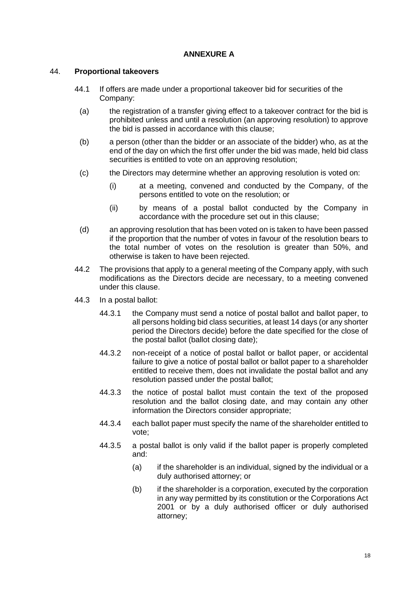# **ANNEXURE A**

# 44. **Proportional takeovers**

- 44.1 If offers are made under a proportional takeover bid for securities of the Company:
	- (a) the registration of a transfer giving effect to a takeover contract for the bid is prohibited unless and until a resolution (an approving resolution) to approve the bid is passed in accordance with this clause;
	- (b) a person (other than the bidder or an associate of the bidder) who, as at the end of the day on which the first offer under the bid was made, held bid class securities is entitled to vote on an approving resolution;
	- (c) the Directors may determine whether an approving resolution is voted on:
		- (i) at a meeting, convened and conducted by the Company, of the persons entitled to vote on the resolution; or
		- (ii) by means of a postal ballot conducted by the Company in accordance with the procedure set out in this clause;
	- (d) an approving resolution that has been voted on is taken to have been passed if the proportion that the number of votes in favour of the resolution bears to the total number of votes on the resolution is greater than 50%, and otherwise is taken to have been rejected.
- 44.2 The provisions that apply to a general meeting of the Company apply, with such modifications as the Directors decide are necessary, to a meeting convened under this clause.
- 44.3 In a postal ballot:
	- 44.3.1 the Company must send a notice of postal ballot and ballot paper, to all persons holding bid class securities, at least 14 days (or any shorter period the Directors decide) before the date specified for the close of the postal ballot (ballot closing date);
	- 44.3.2 non-receipt of a notice of postal ballot or ballot paper, or accidental failure to give a notice of postal ballot or ballot paper to a shareholder entitled to receive them, does not invalidate the postal ballot and any resolution passed under the postal ballot;
	- 44.3.3 the notice of postal ballot must contain the text of the proposed resolution and the ballot closing date, and may contain any other information the Directors consider appropriate;
	- 44.3.4 each ballot paper must specify the name of the shareholder entitled to vote;
	- 44.3.5 a postal ballot is only valid if the ballot paper is properly completed and:
		- (a) if the shareholder is an individual, signed by the individual or a duly authorised attorney; or
		- (b) if the shareholder is a corporation, executed by the corporation in any way permitted by its constitution or the Corporations Act 2001 or by a duly authorised officer or duly authorised attorney;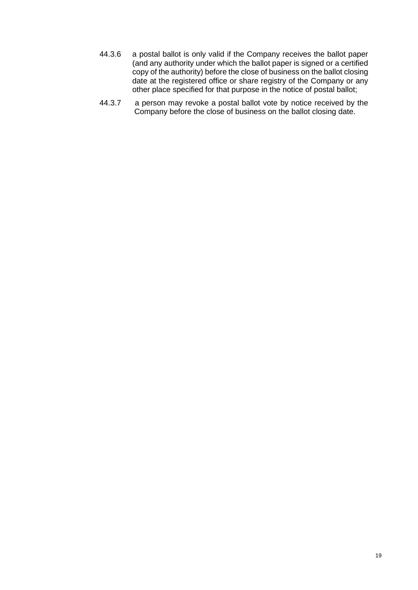- 44.3.6 a postal ballot is only valid if the Company receives the ballot paper (and any authority under which the ballot paper is signed or a certified copy of the authority) before the close of business on the ballot closing date at the registered office or share registry of the Company or any other place specified for that purpose in the notice of postal ballot;
- 44.3.7 a person may revoke a postal ballot vote by notice received by the Company before the close of business on the ballot closing date.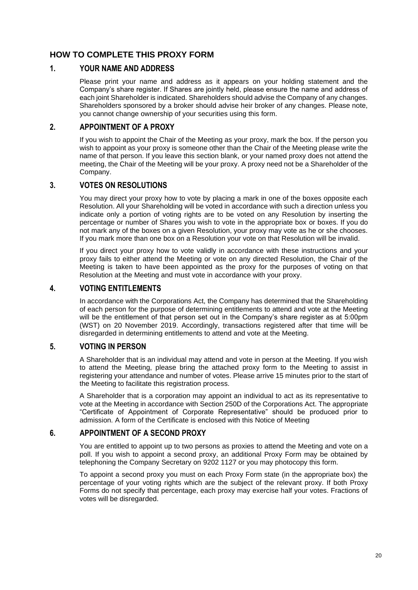# **HOW TO COMPLETE THIS PROXY FORM**

# **1. YOUR NAME AND ADDRESS**

Please print your name and address as it appears on your holding statement and the Company's share register. If Shares are jointly held, please ensure the name and address of each joint Shareholder is indicated. Shareholders should advise the Company of any changes. Shareholders sponsored by a broker should advise heir broker of any changes. Please note, you cannot change ownership of your securities using this form.

# **2. APPOINTMENT OF A PROXY**

If you wish to appoint the Chair of the Meeting as your proxy, mark the box. If the person you wish to appoint as your proxy is someone other than the Chair of the Meeting please write the name of that person. If you leave this section blank, or your named proxy does not attend the meeting, the Chair of the Meeting will be your proxy. A proxy need not be a Shareholder of the Company.

# **3. VOTES ON RESOLUTIONS**

You may direct your proxy how to vote by placing a mark in one of the boxes opposite each Resolution. All your Shareholding will be voted in accordance with such a direction unless you indicate only a portion of voting rights are to be voted on any Resolution by inserting the percentage or number of Shares you wish to vote in the appropriate box or boxes. If you do not mark any of the boxes on a given Resolution, your proxy may vote as he or she chooses. If you mark more than one box on a Resolution your vote on that Resolution will be invalid.

If you direct your proxy how to vote validly in accordance with these instructions and your proxy fails to either attend the Meeting or vote on any directed Resolution, the Chair of the Meeting is taken to have been appointed as the proxy for the purposes of voting on that Resolution at the Meeting and must vote in accordance with your proxy.

# **4. VOTING ENTITLEMENTS**

In accordance with the Corporations Act, the Company has determined that the Shareholding of each person for the purpose of determining entitlements to attend and vote at the Meeting will be the entitlement of that person set out in the Company's share register as at 5:00pm (WST) on 20 November 2019. Accordingly, transactions registered after that time will be disregarded in determining entitlements to attend and vote at the Meeting.

# **5. VOTING IN PERSON**

A Shareholder that is an individual may attend and vote in person at the Meeting. If you wish to attend the Meeting, please bring the attached proxy form to the Meeting to assist in registering your attendance and number of votes. Please arrive 15 minutes prior to the start of the Meeting to facilitate this registration process.

A Shareholder that is a corporation may appoint an individual to act as its representative to vote at the Meeting in accordance with Section 250D of the Corporations Act. The appropriate "Certificate of Appointment of Corporate Representative" should be produced prior to admission. A form of the Certificate is enclosed with this Notice of Meeting

# **6. APPOINTMENT OF A SECOND PROXY**

You are entitled to appoint up to two persons as proxies to attend the Meeting and vote on a poll. If you wish to appoint a second proxy, an additional Proxy Form may be obtained by telephoning the Company Secretary on 9202 1127 or you may photocopy this form.

To appoint a second proxy you must on each Proxy Form state (in the appropriate box) the percentage of your voting rights which are the subject of the relevant proxy. If both Proxy Forms do not specify that percentage, each proxy may exercise half your votes. Fractions of votes will be disregarded.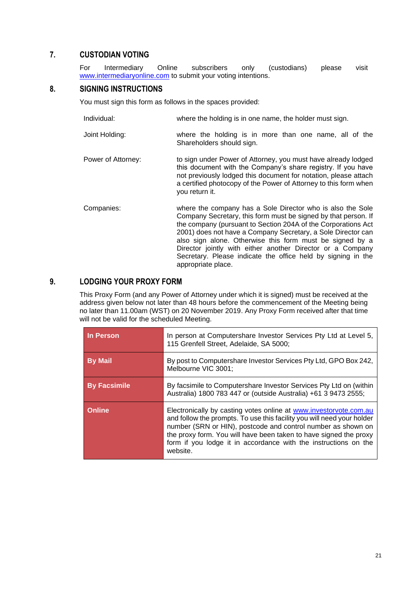# **7. CUSTODIAN VOTING**

For Intermediary Online subscribers only (custodians) please visit [www.intermediaryonline.com](http://www.intermediaryonline.com/) to submit your voting intentions.

# **8. SIGNING INSTRUCTIONS**

You must sign this form as follows in the spaces provided:

- Individual: where the holding is in one name, the holder must sign.
- Joint Holding: where the holding is in more than one name, all of the Shareholders should sign.
- Power of Attorney: to sign under Power of Attorney, you must have already lodged this document with the Company's share registry. If you have not previously lodged this document for notation, please attach a certified photocopy of the Power of Attorney to this form when you return it.
- Companies: where the company has a Sole Director who is also the Sole Company Secretary, this form must be signed by that person. If the company (pursuant to Section 204A of the Corporations Act 2001) does not have a Company Secretary, a Sole Director can also sign alone. Otherwise this form must be signed by a Director jointly with either another Director or a Company Secretary. Please indicate the office held by signing in the appropriate place.

# **9. LODGING YOUR PROXY FORM**

This Proxy Form (and any Power of Attorney under which it is signed) must be received at the address given below not later than 48 hours before the commencement of the Meeting being no later than 11.00am (WST) on 20 November 2019. Any Proxy Form received after that time will not be valid for the scheduled Meeting.

| In Person           | In person at Computershare Investor Services Pty Ltd at Level 5,<br>115 Grenfell Street, Adelaide, SA 5000;                                                                                                                                                                                                                                                     |  |  |  |
|---------------------|-----------------------------------------------------------------------------------------------------------------------------------------------------------------------------------------------------------------------------------------------------------------------------------------------------------------------------------------------------------------|--|--|--|
| <b>By Mail</b>      | By post to Computershare Investor Services Pty Ltd, GPO Box 242,<br>Melbourne VIC 3001;                                                                                                                                                                                                                                                                         |  |  |  |
| <b>By Facsimile</b> | By facsimile to Computershare Investor Services Pty Ltd on (within<br>Australia) 1800 783 447 or (outside Australia) +61 3 9473 2555;                                                                                                                                                                                                                           |  |  |  |
| <b>Online</b>       | Electronically by casting votes online at www.investorvote.com.au<br>and follow the prompts. To use this facility you will need your holder<br>number (SRN or HIN), postcode and control number as shown on<br>the proxy form. You will have been taken to have signed the proxy<br>form if you lodge it in accordance with the instructions on the<br>website. |  |  |  |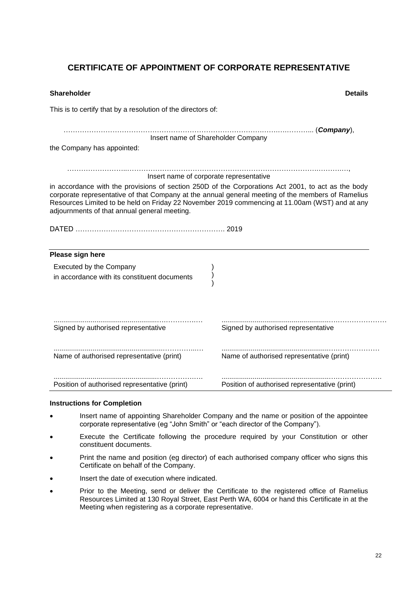# **CERTIFICATE OF APPOINTMENT OF CORPORATE REPRESENTATIVE**

| Shareholder                                                                                                                                                                                                                                                                                                                                               | <b>Details</b>                                |
|-----------------------------------------------------------------------------------------------------------------------------------------------------------------------------------------------------------------------------------------------------------------------------------------------------------------------------------------------------------|-----------------------------------------------|
| This is to certify that by a resolution of the directors of:                                                                                                                                                                                                                                                                                              |                                               |
|                                                                                                                                                                                                                                                                                                                                                           |                                               |
| Insert name of Shareholder Company<br>the Company has appointed:                                                                                                                                                                                                                                                                                          |                                               |
|                                                                                                                                                                                                                                                                                                                                                           |                                               |
| Insert name of corporate representative                                                                                                                                                                                                                                                                                                                   |                                               |
| in accordance with the provisions of section 250D of the Corporations Act 2001, to act as the body<br>corporate representative of that Company at the annual general meeting of the members of Ramelius<br>Resources Limited to be held on Friday 22 November 2019 commencing at 11.00am (WST) and at any<br>adjournments of that annual general meeting. |                                               |
|                                                                                                                                                                                                                                                                                                                                                           |                                               |
|                                                                                                                                                                                                                                                                                                                                                           |                                               |
| Please sign here                                                                                                                                                                                                                                                                                                                                          |                                               |
| Executed by the Company                                                                                                                                                                                                                                                                                                                                   |                                               |
| in accordance with its constituent documents                                                                                                                                                                                                                                                                                                              |                                               |
| Signed by authorised representative                                                                                                                                                                                                                                                                                                                       | Signed by authorised representative           |
| Name of authorised representative (print)                                                                                                                                                                                                                                                                                                                 | Name of authorised representative (print)     |
| Position of authorised representative (print)                                                                                                                                                                                                                                                                                                             | Position of authorised representative (print) |

#### **Instructions for Completion**

- Insert name of appointing Shareholder Company and the name or position of the appointee corporate representative (eg "John Smith" or "each director of the Company").
- Execute the Certificate following the procedure required by your Constitution or other constituent documents.
- Print the name and position (eg director) of each authorised company officer who signs this Certificate on behalf of the Company.
- Insert the date of execution where indicated.
- Prior to the Meeting, send or deliver the Certificate to the registered office of Ramelius Resources Limited at 130 Royal Street, East Perth WA, 6004 or hand this Certificate in at the Meeting when registering as a corporate representative.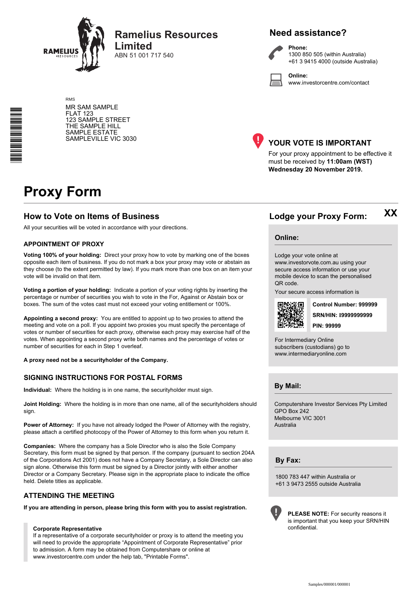

RMS

**Ramelius Resources Limited**

ABN 51 001 717 540

# **Need assistance?**



**Phone:** 1300 850 505 (within Australia) +61 3 9415 4000 (outside Australia)

**Online:** www.investorcentre.com/contact

MR SAM SAMPLE FLAT 123 123 SAMPLE STREET THE SAMPLE HILL SAMPLE ESTATE SAMPLEVILLE VIC 3030



# **YOUR VOTE IS IMPORTANT**

For your proxy appointment to be effective it must be received by **11:00am (WST) Wednesday 20 November 2019.**

# **Proxy Form**

\*<br>\* London<br>Timografia

# **How to Vote on Items of Business Lodge your Proxy Form:**

All your securities will be voted in accordance with your directions.

#### **APPOINTMENT OF PROXY**

**Voting 100% of your holding:** Direct your proxy how to vote by marking one of the boxes opposite each item of business. If you do not mark a box your proxy may vote or abstain as they choose (to the extent permitted by law). If you mark more than one box on an item your vote will be invalid on that item.

**Voting a portion of your holding:** Indicate a portion of your voting rights by inserting the percentage or number of securities you wish to vote in the For, Against or Abstain box or boxes. The sum of the votes cast must not exceed your voting entitlement or 100%.

**Appointing a second proxy:** You are entitled to appoint up to two proxies to attend the meeting and vote on a poll. If you appoint two proxies you must specify the percentage of votes or number of securities for each proxy, otherwise each proxy may exercise half of the votes. When appointing a second proxy write both names and the percentage of votes or number of securities for each in Step 1 overleaf.

**A proxy need not be a securityholder of the Company.**

#### **SIGNING INSTRUCTIONS FOR POSTAL FORMS**

**Individual:** Where the holding is in one name, the securityholder must sign.

**Joint Holding:** Where the holding is in more than one name, all of the securityholders should sign.

**Power of Attorney:** If you have not already lodged the Power of Attorney with the registry, please attach a certified photocopy of the Power of Attorney to this form when you return it.

**Companies:** Where the company has a Sole Director who is also the Sole Company Secretary, this form must be signed by that person. If the company (pursuant to section 204A of the Corporations Act 2001) does not have a Company Secretary, a Sole Director can also sign alone. Otherwise this form must be signed by a Director jointly with either another Director or a Company Secretary. Please sign in the appropriate place to indicate the office held. Delete titles as applicable.

#### **ATTENDING THE MEETING**

**If you are attending in person, please bring this form with you to assist registration.**

#### **Corporate Representative**

If a representative of a corporate securityholder or proxy is to attend the meeting you will need to provide the appropriate "Appointment of Corporate Representative" prior to admission. A form may be obtained from Computershare or online at www.investorcentre.com under the help tab, "Printable Forms".

**XX**

#### **Online:**

Lodge your vote online at www.investorvote.com.au using your secure access information or use your

mobile device to scan the personalised QR code.

Your secure access information is



**SRN/HIN: I9999999999 Control Number: 999999 PIN: 99999**

For Intermediary Online subscribers (custodians) go to www.intermediaryonline.com

**By Mail:**

Computershare Investor Services Pty Limited GPO Box 242 Melbourne VIC 3001 Australia

**By Fax:**

1800 783 447 within Australia or +61 3 9473 2555 outside Australia



**PLEASE NOTE:** For security reasons it is important that you keep your SRN/HIN confidential.